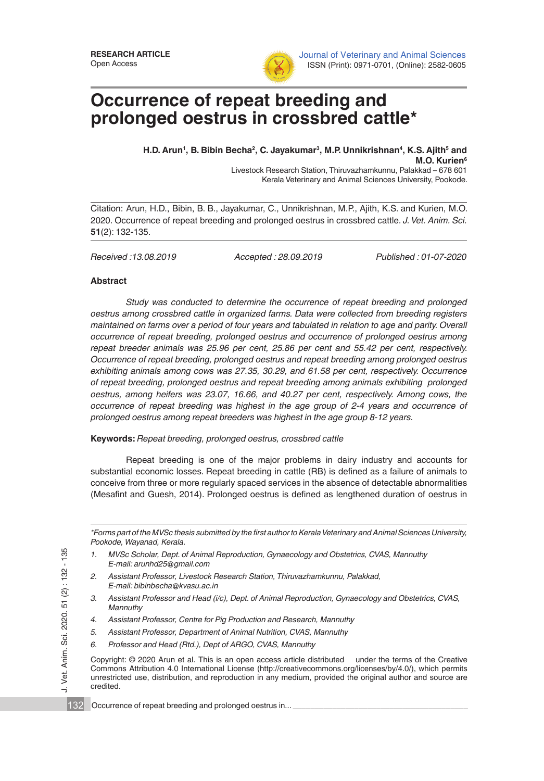

Journal of Veterinary and Animal Sciences ISSN (Print): 0971-0701, (Online): 2582-0605

# **Occurrence of repeat breeding and prolonged oestrus in crossbred cattle\***

H.D. Arun<sup>1</sup>, B. Bibin Becha<sup>2</sup>, C. Jayakumar<sup>3</sup>, M.P. Unnikrishnan<sup>4</sup>, K.S. Ajith<sup>5</sup> and **M.O. Kurien6**

Livestock Research Station, Thiruvazhamkunnu, Palakkad – 678 601 Kerala Veterinary and Animal Sciences University, Pookode.

Citation: Arun, H.D., Bibin, B. B., Jayakumar, C., Unnikrishnan, M.P., Ajith, K.S. and Kurien, M.O. 2020. Occurrence of repeat breeding and prolonged oestrus in crossbred cattle. *J. Vet. Anim. Sci.* **51**(2): 132-135.

*Received :13.08.2019 Accepted : 28.09.2019 Published : 01-07-2020*

## **Abstract**

J. Vet. Anim. Sci. 2020. 51 (2) : 132 - 135

 $\overline{\phantom{a}}$ 

Vet. Anim. Sci. 2020. 51 (2): 132 - 135

*Study was conducted to determine the occurrence of repeat breeding and prolonged oestrus among crossbred cattle in organized farms. Data were collected from breeding registers maintained on farms over a period of four years and tabulated in relation to age and parity. Overall occurrence of repeat breeding, prolonged oestrus and occurrence of prolonged oestrus among repeat breeder animals was 25.96 per cent, 25.86 per cent and 55.42 per cent, respectively. Occurrence of repeat breeding, prolonged oestrus and repeat breeding among prolonged oestrus exhibiting animals among cows was 27.35, 30.29, and 61.58 per cent, respectively. Occurrence of repeat breeding, prolonged oestrus and repeat breeding among animals exhibiting prolonged oestrus, among heifers was 23.07, 16.66, and 40.27 per cent, respectively. Among cows, the occurrence of repeat breeding was highest in the age group of 2-4 years and occurrence of prolonged oestrus among repeat breeders was highest in the age group 8-12 years.* 

## **Keywords:** *Repeat breeding, prolonged oestrus, crossbred cattle*

Repeat breeding is one of the major problems in dairy industry and accounts for substantial economic losses. Repeat breeding in cattle (RB) is defined as a failure of animals to conceive from three or more regularly spaced services in the absence of detectable abnormalities (Mesafint and Guesh, 2014). Prolonged oestrus is defined as lengthened duration of oestrus in

*\*Forms part of the MVSc thesis submitted by the first author to Kerala Veterinary and Animal Sciences University, Pookode, Wayanad, Kerala.* 

- *1. MVSc Scholar, Dept. of Animal Reproduction, Gynaecology and Obstetrics, CVAS, Mannuthy E-mail: arunhd25@gmail.com*
- *2. Assistant Professor, Livestock Research Station, Thiruvazhamkunnu, Palakkad, E-mail: bibinbecha@kvasu.ac.in*
- *3. Assistant Professor and Head (i/c), Dept. of Animal Reproduction, Gynaecology and Obstetrics, CVAS, Mannuthy*
- *4. Assistant Professor, Centre for Pig Production and Research, Mannuthy*
- *5. Assistant Professor, Department of Animal Nutrition, CVAS, Mannuthy*
- *6. Professor and Head (Rtd.), Dept of ARGO, CVAS, Mannuthy*

Copyright: © 2020 Arun et al. This is an open access article distributed under the terms of the Creative Commons Attribution 4.0 International License (http://creativecommons.org/licenses/by/4.0/), which permits unrestricted use, distribution, and reproduction in any medium, provided the original author and source are credited.

132 Occurrence of repeat breeding and prolonged oestrus in...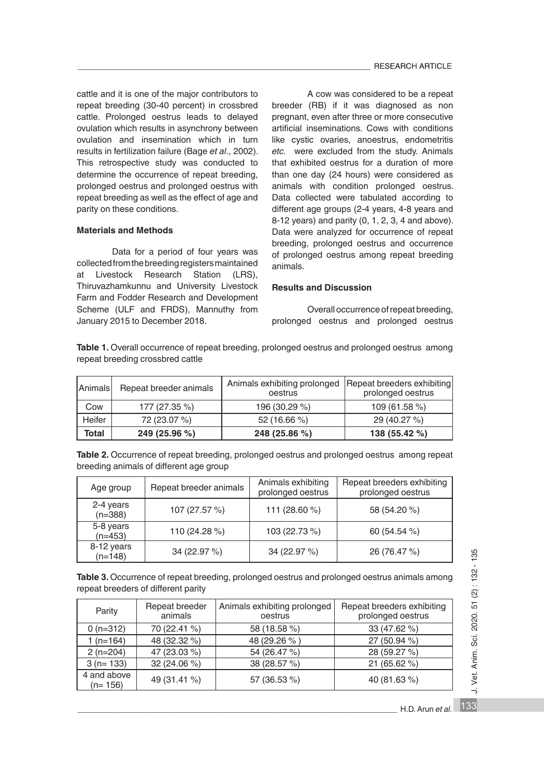cattle and it is one of the major contributors to repeat breeding (30-40 percent) in crossbred cattle. Prolonged oestrus leads to delayed ovulation which results in asynchrony between ovulation and insemination which in turn results in fertilization failure (Bage *et al*., 2002). This retrospective study was conducted to determine the occurrence of repeat breeding, prolonged oestrus and prolonged oestrus with repeat breeding as well as the effect of age and parity on these conditions.

#### **Materials and Methods**

Data for a period of four years was collected from the breeding registers maintained<br>at Livestock Research Station (LRS), at Livestock Research Thiruvazhamkunnu and University Livestock Farm and Fodder Research and Development Scheme (ULF and FRDS), Mannuthy from January 2015 to December 2018.

A cow was considered to be a repeat breeder (RB) if it was diagnosed as non pregnant, even after three or more consecutive artificial inseminations. Cows with conditions like cystic ovaries, anoestrus, endometritis *etc.* were excluded from the study. Animals that exhibited oestrus for a duration of more than one day (24 hours) were considered as animals with condition prolonged oestrus. Data collected were tabulated according to different age groups (2-4 years, 4-8 years and 8-12 years) and parity (0, 1, 2, 3, 4 and above). Data were analyzed for occurrence of repeat breeding, prolonged oestrus and occurrence of prolonged oestrus among repeat breeding animals.

## **Results and Discussion**

Overall occurrence of repeat breeding, prolonged oestrus and prolonged oestrus

Table 1. Overall occurrence of repeat breeding, prolonged oestrus and prolonged oestrus among repeat breeding crossbred cattle

| Animals      | Repeat breeder animals | Animals exhibiting prolonged   Repeat breeders exhibiting  <br>oestrus | prolonged oestrus |
|--------------|------------------------|------------------------------------------------------------------------|-------------------|
| Cow          | 177 (27.35 %)          | 196 (30.29 %)                                                          | 109 (61.58 %)     |
| Heifer       | 72 (23.07 %)           | 52 (16.66 %)                                                           | 29 (40.27 %)      |
| <b>Total</b> | 249 (25.96 %)          | 248 (25.86 %)                                                          | 138 (55.42 %)     |

Table 2. Occurrence of repeat breeding, prolonged oestrus and prolonged oestrus among repeat breeding animals of different age group

| Age group               | Repeat breeder animals | Animals exhibiting<br>prolonged oestrus | Repeat breeders exhibiting<br>prolonged oestrus |
|-------------------------|------------------------|-----------------------------------------|-------------------------------------------------|
| 2-4 years<br>$(n=388)$  | 107 (27.57 %)          | 111 (28.60 %)                           | 58 (54.20 %)                                    |
| 5-8 years<br>$(n=453)$  | 110 (24.28 %)          | 103 (22.73 %)                           | 60 (54.54 %)                                    |
| 8-12 years<br>$(n=148)$ | 34 (22.97 %)           | 34 (22.97 %)                            | 26 (76.47 %)                                    |

**Table 3.** Occurrence of repeat breeding, prolonged oestrus and prolonged oestrus animals among repeat breeders of different parity

| Parity                   | Repeat breeder<br>animals | Animals exhibiting prolonged<br>oestrus | Repeat breeders exhibiting<br>prolonged oestrus |
|--------------------------|---------------------------|-----------------------------------------|-------------------------------------------------|
| $0(n=312)$               | 70 (22.41 %)              | 58 (18.58 %)                            | 33 (47.62 %)                                    |
| 1 $(n=164)$              | 48 (32.32 %)              | 48 (29.26 %)                            | 27 (50.94 %)                                    |
| $2(n=204)$               | 47 (23.03 %)              | 54 (26.47 %)                            | 28 (59.27 %)                                    |
| $3(n=133)$               | 32 (24.06 %)              | 38 (28.57 %)                            | 21(65.62%)                                      |
| 4 and above<br>$(n=156)$ | 49 (31.41 %)              | 57 (36.53 %)                            | 40 (81.63%)                                     |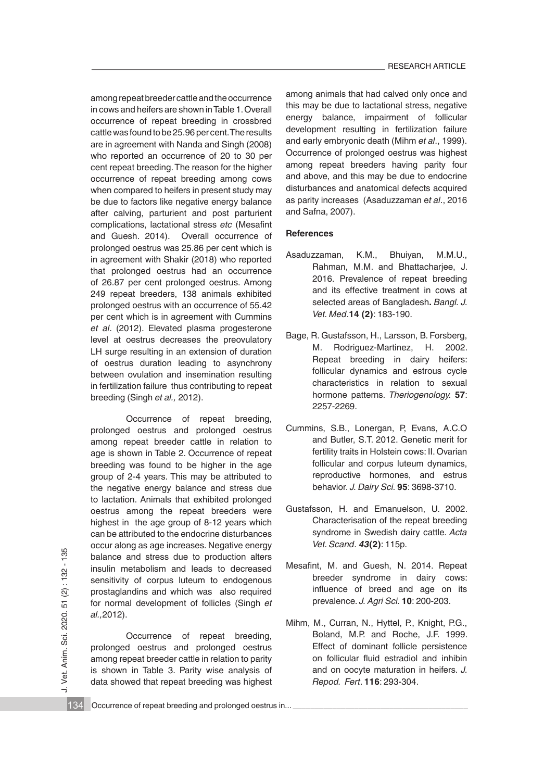among repeat breeder cattle and the occurrence in cows and heifers are shown in Table 1. Overall occurrence of repeat breeding in crossbred cattle was found to be 25.96 per cent. The results are in agreement with Nanda and Singh (2008) who reported an occurrence of 20 to 30 per cent repeat breeding. The reason for the higher occurrence of repeat breeding among cows when compared to heifers in present study may be due to factors like negative energy balance after calving, parturient and post parturient complications, lactational stress *etc* (Mesafint and Guesh. 2014). Overall occurrence of prolonged oestrus was 25.86 per cent which is in agreement with Shakir (2018) who reported that prolonged oestrus had an occurrence of 26.87 per cent prolonged oestrus. Among 249 repeat breeders, 138 animals exhibited prolonged oestrus with an occurrence of 55.42 per cent which is in agreement with Cummins *et al*. (2012). Elevated plasma progesterone level at oestrus decreases the preovulatory LH surge resulting in an extension of duration of oestrus duration leading to asynchrony between ovulation and insemination resulting in fertilization failure thus contributing to repeat breeding (Singh *et al.,* 2012).

Occurrence of repeat breeding, prolonged oestrus and prolonged oestrus among repeat breeder cattle in relation to age is shown in Table 2. Occurrence of repeat breeding was found to be higher in the age group of 2-4 years. This may be attributed to the negative energy balance and stress due to lactation. Animals that exhibited prolonged oestrus among the repeat breeders were highest in the age group of 8-12 years which can be attributed to the endocrine disturbances occur along as age increases. Negative energy balance and stress due to production alters insulin metabolism and leads to decreased sensitivity of corpus luteum to endogenous prostaglandins and which was also required for normal development of follicles (Singh *et al.,*2012). balance and stress due to production alters<br>
insulin metabolism and leads to decreased<br>
Secrective of breeding and which was also required<br>
Secrective of breeding and which was also required<br>
influence of breed and age on

Occurrence of repeat breeding, prolonged oestrus and prolonged oestrus among repeat breeder cattle in relation to parity is shown in Table 3. Parity wise analysis of data showed that repeat breeding was highest among animals that had calved only once and this may be due to lactational stress, negative energy balance, impairment of follicular development resulting in fertilization failure and early embryonic death (Mihm *et al*., 1999). Occurrence of prolonged oestrus was highest among repeat breeders having parity four and above, and this may be due to endocrine disturbances and anatomical defects acquired as parity increases (Asaduzzaman e*t al*., 2016 and Safna, 2007).

#### **References**

- Asaduzzaman, K.M., Bhuiyan, M.M.U., Rahman, M.M. and Bhattacharjee, J. 2016. Prevalence of repeat breeding and its effective treatment in cows at selected areas of Bangladesh**.** *Bangl. J. Vet. Med*.**14 (2)**: 183-190.
- Bage, R. Gustafsson, H., Larsson, B. Forsberg, M. Rodriguez-Martinez, H. 2002. Repeat breeding in dairy heifers: follicular dynamics and estrous cycle characteristics in relation to sexual hormone patterns. *Theriogenology.* **57**: 2257-2269.
- Cummins, S.B., Lonergan, P, Evans, A.C.O and Butler, S.T. 2012. Genetic merit for fertility traits in Holstein cows: II. Ovarian follicular and corpus luteum dynamics, reproductive hormones, and estrus behavior. *J. Dairy Sci.* **95**: 3698-3710.
- Gustafsson, H. and Emanuelson, U. 2002. Characterisation of the repeat breeding syndrome in Swedish dairy cattle. *Acta Vet. Scand*. *43***(2)**: 115p.
- Mesafint, M. and Guesh, N. 2014. Repeat breeder syndrome in dairy cows: influence of breed and age on its prevalence. *J. Agri Sci.* **10**: 200-203.
- Mihm, M., Curran, N., Hyttel, P., Knight, P.G., Boland, M.P. and Roche, J.F. 1999. Effect of dominant follicle persistence on follicular fluid estradiol and inhibin and on oocyte maturation in heifers. *J. Repod. Fert*. **116**: 293-304.